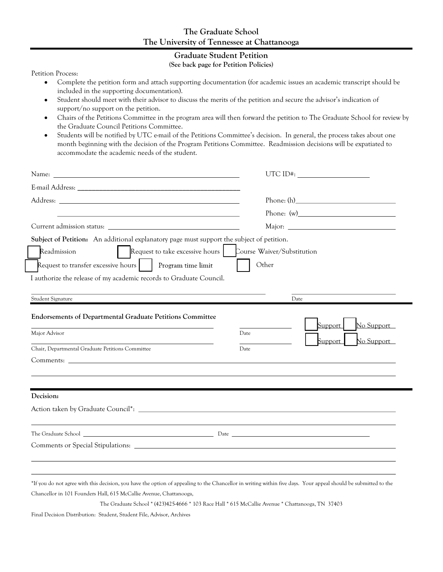## The Graduate School The University of Tennessee at Chattanooga

## Graduate Student Petition

## (See back page for Petition Policies)

Petition Process:

- Complete the petition form and attach supporting documentation (for academic issues an academic transcript should be  $\bullet$ included in the supporting documentation).
- Student should meet with their advisor to discuss the merits of the petition and secure the advisor's indication of  $\bullet$ support/no support on the petition.
- Chairs of the Petitions Committee in the program area will then forward the petition to The Graduate School for review by  $\bullet$ the Graduate Council Petitions Committee.
- $\bullet$ Students will be notified by UTC e-mail of the Petitions Committee's decision. In general, the process takes about one month beginning with the decision of the Program Petitions Committee. Readmission decisions will be expatiated to accommodate the academic needs of the student.

| Name:                                                                                                                                                                                                                                | $UTCID$ #: $\_\_\_\_\_\_\_\_\_\_\_\_\_\_\_\_\_\_\_\_\_\_\_\_\_\_\_\_\_\_$ |
|--------------------------------------------------------------------------------------------------------------------------------------------------------------------------------------------------------------------------------------|---------------------------------------------------------------------------|
| E-mail Address: National Address:                                                                                                                                                                                                    |                                                                           |
|                                                                                                                                                                                                                                      |                                                                           |
|                                                                                                                                                                                                                                      | Phone: (w)                                                                |
|                                                                                                                                                                                                                                      |                                                                           |
| Subject of Petition: An additional explanatory page must support the subject of petition.                                                                                                                                            |                                                                           |
| Request to take excessive hours   Course Waiver/Substitution<br>Readmission                                                                                                                                                          |                                                                           |
| Request to transfer excessive hours     Program time limit                                                                                                                                                                           | Other                                                                     |
| I authorize the release of my academic records to Graduate Council.                                                                                                                                                                  |                                                                           |
|                                                                                                                                                                                                                                      |                                                                           |
| Student Signature                                                                                                                                                                                                                    | Date                                                                      |
| <b>Endorsements of Departmental Graduate Petitions Committee</b>                                                                                                                                                                     | Support<br>No Support                                                     |
| Major Advisor                                                                                                                                                                                                                        | Date<br>No Support<br>Support                                             |
| Chair, Departmental Graduate Petitions Committee                                                                                                                                                                                     | Date                                                                      |
|                                                                                                                                                                                                                                      |                                                                           |
|                                                                                                                                                                                                                                      |                                                                           |
|                                                                                                                                                                                                                                      |                                                                           |
| Decision:                                                                                                                                                                                                                            |                                                                           |
|                                                                                                                                                                                                                                      |                                                                           |
|                                                                                                                                                                                                                                      |                                                                           |
| The Graduate School <u>and the contract of the contract of the contract of the contract of the contract of the contract of the contract of the contract of the contract of the contract of the contract of the contract of the c</u> |                                                                           |
|                                                                                                                                                                                                                                      |                                                                           |
|                                                                                                                                                                                                                                      |                                                                           |
|                                                                                                                                                                                                                                      |                                                                           |
| *If you do not agree with this decision, you have the option of appealing to the Chancellor in writing within five days. Your appeal should be submitted to the                                                                      |                                                                           |
| Chancellor in 101 Founders Hall, 615 McCallie Avenue, Chattanooga,                                                                                                                                                                   |                                                                           |

The Graduate School \* (423)425-4666 \* 103 Race Hall \* 615 McCallie Avenue \* Chattanooga, TN 37403

Final Decision Distribution: Student, Student File, Advisor, Archives